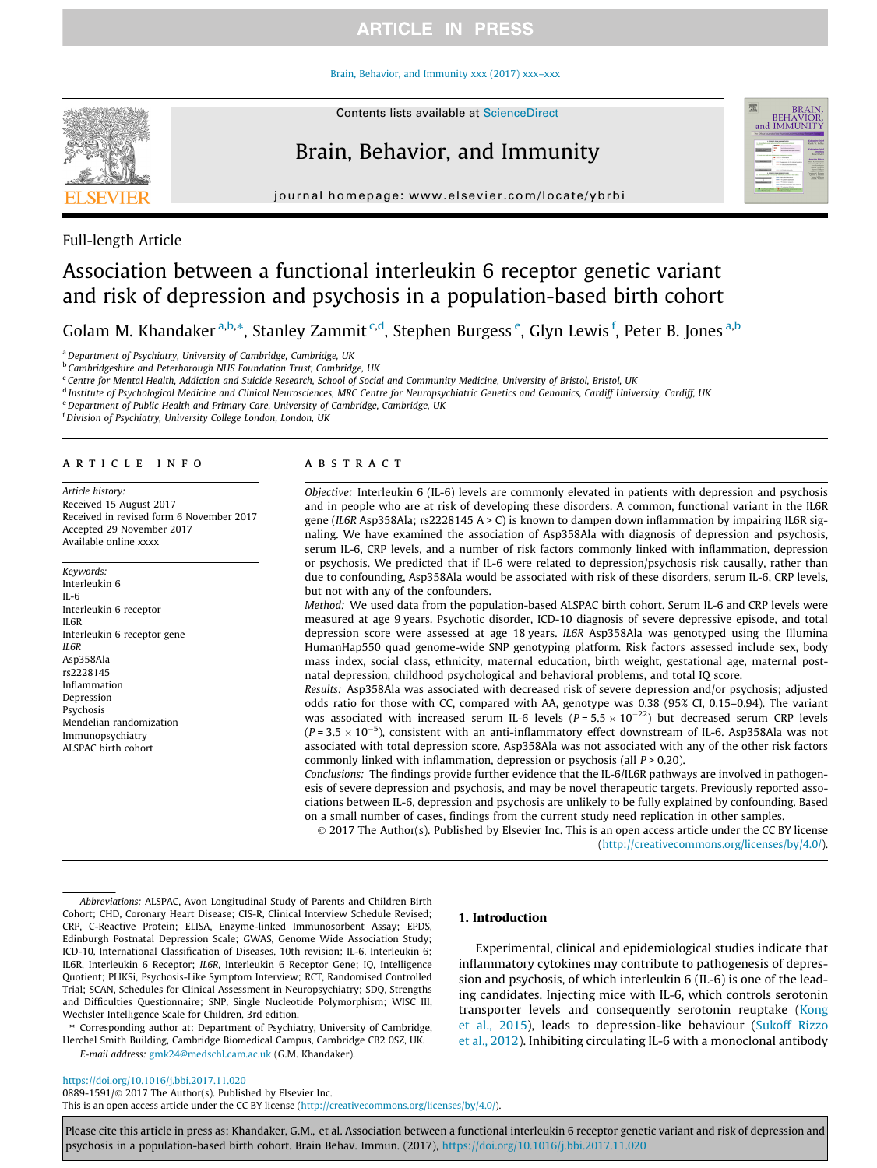## **ARTICLE IN PRESS**

[Brain, Behavior, and Immunity xxx \(2017\) xxx–xxx](https://doi.org/10.1016/j.bbi.2017.11.020)



# Brain, Behavior, and Immunity



journal homepage: [www.elsevier.com/locate/ybrbi](http://www.elsevier.com/locate/ybrbi)

## Full-length Article

# Association between a functional interleukin 6 receptor genetic variant and risk of depression and psychosis in a population-based birth cohort

Golam M. Khandaker <sup>a,b,\*</sup>, Stanley Zammit <sup>c,d</sup>, Stephen Burgess <sup>e</sup>, Glyn Lewis <sup>f</sup>, Peter B. Jones <sup>a,b</sup>

<sup>a</sup> Department of Psychiatry, University of Cambridge, Cambridge, UK

**b** Cambridgeshire and Peterborough NHS Foundation Trust, Cambridge, UK

<sup>c</sup> Centre for Mental Health, Addiction and Suicide Research, School of Social and Community Medicine, University of Bristol, Bristol, UK

d Institute of Psychological Medicine and Clinical Neurosciences, MRC Centre for Neuropsychiatric Genetics and Genomics, Cardiff University, Cardiff, UK

e Department of Public Health and Primary Care, University of Cambridge, Cambridge, UK

f Division of Psychiatry, University College London, London, UK

## article info

Article history: Received 15 August 2017 Received in revised form 6 November 2017 Accepted 29 November 2017 Available online xxxx

Keywords: Interleukin 6 IL- $6$ Interleukin 6 receptor IL6R Interleukin 6 receptor gene IL6R Asp358Ala rs2228145 Inflammation Depression Psychosis Mendelian randomization Immunopsychiatry ALSPAC birth cohort

## A B S T R A C T

Objective: Interleukin 6 (IL-6) levels are commonly elevated in patients with depression and psychosis and in people who are at risk of developing these disorders. A common, functional variant in the IL6R gene (IL6R Asp358Ala; rs2228145 A > C) is known to dampen down inflammation by impairing IL6R signaling. We have examined the association of Asp358Ala with diagnosis of depression and psychosis, serum IL-6, CRP levels, and a number of risk factors commonly linked with inflammation, depression or psychosis. We predicted that if IL-6 were related to depression/psychosis risk causally, rather than due to confounding, Asp358Ala would be associated with risk of these disorders, serum IL-6, CRP levels, but not with any of the confounders.

Method: We used data from the population-based ALSPAC birth cohort. Serum IL-6 and CRP levels were measured at age 9 years. Psychotic disorder, ICD-10 diagnosis of severe depressive episode, and total depression score were assessed at age 18 years. IL6R Asp358Ala was genotyped using the Illumina HumanHap550 quad genome-wide SNP genotyping platform. Risk factors assessed include sex, body mass index, social class, ethnicity, maternal education, birth weight, gestational age, maternal postnatal depression, childhood psychological and behavioral problems, and total IQ score.

Results: Asp358Ala was associated with decreased risk of severe depression and/or psychosis; adjusted odds ratio for those with CC, compared with AA, genotype was 0.38 (95% CI, 0.15–0.94). The variant was associated with increased serum IL-6 levels ( $P = 5.5 \times 10^{-22}$ ) but decreased serum CRP levels  $(P = 3.5 \times 10^{-5})$ , consistent with an anti-inflammatory effect downstream of IL-6. Asp358Ala was not associated with total depression score. Asp358Ala was not associated with any of the other risk factors commonly linked with inflammation, depression or psychosis (all  $P > 0.20$ ).

Conclusions: The findings provide further evidence that the IL-6/IL6R pathways are involved in pathogenesis of severe depression and psychosis, and may be novel therapeutic targets. Previously reported associations between IL-6, depression and psychosis are unlikely to be fully explained by confounding. Based on a small number of cases, findings from the current study need replication in other samples.

 2017 The Author(s). Published by Elsevier Inc. This is an open access article under the CC BY license [\(http://creativecommons.org/licenses/by/4.0/](http://creativecommons.org/licenses/by/4.0/)).

⇑ Corresponding author at: Department of Psychiatry, University of Cambridge, Herchel Smith Building, Cambridge Biomedical Campus, Cambridge CB2 0SZ, UK. E-mail address: [gmk24@medschl.cam.ac.uk](mailto:gmk24@medschl.cam.ac.uk) (G.M. Khandaker).

## <https://doi.org/10.1016/j.bbi.2017.11.020>

0889-1591/ $\odot$  2017 The Author(s). Published by Elsevier Inc. This is an open access article under the CC BY license [\(http://creativecommons.org/licenses/by/4.0/\)](http://creativecommons.org/licenses/by/4.0/).

## 1. Introduction

Experimental, clinical and epidemiological studies indicate that inflammatory cytokines may contribute to pathogenesis of depression and psychosis, of which interleukin 6 (IL-6) is one of the leading candidates. Injecting mice with IL-6, which controls serotonin transporter levels and consequently serotonin reuptake [\(Kong](#page-7-0) [et al., 2015](#page-7-0)), leads to depression-like behaviour ([Sukoff Rizzo](#page-8-0) [et al., 2012](#page-8-0)). Inhibiting circulating IL-6 with a monoclonal antibody

Abbreviations: ALSPAC, Avon Longitudinal Study of Parents and Children Birth Cohort; CHD, Coronary Heart Disease; CIS-R, Clinical Interview Schedule Revised; CRP, C-Reactive Protein; ELISA, Enzyme-linked Immunosorbent Assay; EPDS, Edinburgh Postnatal Depression Scale; GWAS, Genome Wide Association Study; ICD-10, International Classification of Diseases, 10th revision; IL-6, Interleukin 6; IL6R, Interleukin 6 Receptor; IL6R, Interleukin 6 Receptor Gene; IQ, Intelligence Quotient; PLIKSi, Psychosis-Like Symptom Interview; RCT, Randomised Controlled Trial; SCAN, Schedules for Clinical Assessment in Neuropsychiatry; SDQ, Strengths and Difficulties Questionnaire; SNP, Single Nucleotide Polymorphism; WISC III, Wechsler Intelligence Scale for Children, 3rd edition.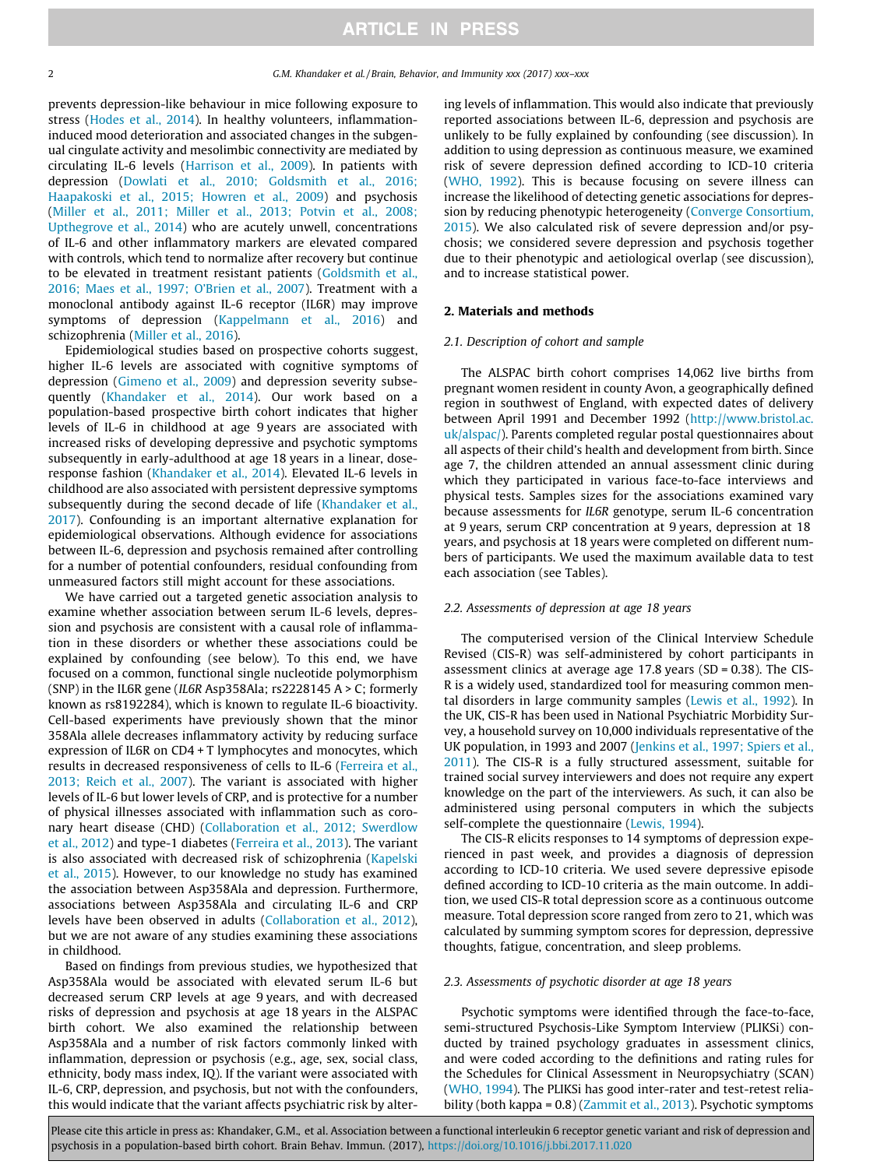prevents depression-like behaviour in mice following exposure to stress [\(Hodes et al., 2014](#page-7-0)). In healthy volunteers, inflammationinduced mood deterioration and associated changes in the subgenual cingulate activity and mesolimbic connectivity are mediated by circulating IL-6 levels [\(Harrison et al., 2009](#page-7-0)). In patients with depression ([Dowlati et al., 2010; Goldsmith et al., 2016;](#page-7-0) [Haapakoski et al., 2015; Howren et al., 2009\)](#page-7-0) and psychosis ([Miller et al., 2011; Miller et al., 2013; Potvin et al., 2008;](#page-8-0) [Upthegrove et al., 2014\)](#page-8-0) who are acutely unwell, concentrations of IL-6 and other inflammatory markers are elevated compared with controls, which tend to normalize after recovery but continue to be elevated in treatment resistant patients ([Goldsmith et al.,](#page-7-0) [2016; Maes et al., 1997; O'Brien et al., 2007](#page-7-0)). Treatment with a monoclonal antibody against IL-6 receptor (IL6R) may improve symptoms of depression ([Kappelmann et al., 2016](#page-7-0)) and schizophrenia [\(Miller et al., 2016\)](#page-8-0).

Epidemiological studies based on prospective cohorts suggest, higher IL-6 levels are associated with cognitive symptoms of depression [\(Gimeno et al., 2009](#page-7-0)) and depression severity subsequently [\(Khandaker et al., 2014](#page-7-0)). Our work based on a population-based prospective birth cohort indicates that higher levels of IL-6 in childhood at age 9 years are associated with increased risks of developing depressive and psychotic symptoms subsequently in early-adulthood at age 18 years in a linear, doseresponse fashion [\(Khandaker et al., 2014](#page-7-0)). Elevated IL-6 levels in childhood are also associated with persistent depressive symptoms subsequently during the second decade of life ([Khandaker et al.,](#page-7-0) [2017\)](#page-7-0). Confounding is an important alternative explanation for epidemiological observations. Although evidence for associations between IL-6, depression and psychosis remained after controlling for a number of potential confounders, residual confounding from unmeasured factors still might account for these associations.

We have carried out a targeted genetic association analysis to examine whether association between serum IL-6 levels, depression and psychosis are consistent with a causal role of inflammation in these disorders or whether these associations could be explained by confounding (see below). To this end, we have focused on a common, functional single nucleotide polymorphism (SNP) in the IL6R gene (IL6R Asp358Ala; rs2228145 A > C; formerly known as rs8192284), which is known to regulate IL-6 bioactivity. Cell-based experiments have previously shown that the minor 358Ala allele decreases inflammatory activity by reducing surface expression of IL6R on CD4 + T lymphocytes and monocytes, which results in decreased responsiveness of cells to IL-6 [\(Ferreira et al.,](#page-7-0) [2013; Reich et al., 2007\)](#page-7-0). The variant is associated with higher levels of IL-6 but lower levels of CRP, and is protective for a number of physical illnesses associated with inflammation such as coronary heart disease (CHD) [\(Collaboration et al., 2012; Swerdlow](#page-7-0) [et al., 2012](#page-7-0)) and type-1 diabetes [\(Ferreira et al., 2013\)](#page-7-0). The variant is also associated with decreased risk of schizophrenia ([Kapelski](#page-7-0) [et al., 2015\)](#page-7-0). However, to our knowledge no study has examined the association between Asp358Ala and depression. Furthermore, associations between Asp358Ala and circulating IL-6 and CRP levels have been observed in adults [\(Collaboration et al., 2012\)](#page-7-0), but we are not aware of any studies examining these associations in childhood.

Based on findings from previous studies, we hypothesized that Asp358Ala would be associated with elevated serum IL-6 but decreased serum CRP levels at age 9 years, and with decreased risks of depression and psychosis at age 18 years in the ALSPAC birth cohort. We also examined the relationship between Asp358Ala and a number of risk factors commonly linked with inflammation, depression or psychosis (e.g., age, sex, social class, ethnicity, body mass index, IQ). If the variant were associated with IL-6, CRP, depression, and psychosis, but not with the confounders, this would indicate that the variant affects psychiatric risk by alter-

ing levels of inflammation. This would also indicate that previously reported associations between IL-6, depression and psychosis are unlikely to be fully explained by confounding (see discussion). In addition to using depression as continuous measure, we examined risk of severe depression defined according to ICD-10 criteria ([WHO, 1992](#page-8-0)). This is because focusing on severe illness can increase the likelihood of detecting genetic associations for depression by reducing phenotypic heterogeneity [\(Converge Consortium,](#page-7-0) [2015\)](#page-7-0). We also calculated risk of severe depression and/or psychosis; we considered severe depression and psychosis together due to their phenotypic and aetiological overlap (see discussion), and to increase statistical power.

### 2. Materials and methods

#### 2.1. Description of cohort and sample

The ALSPAC birth cohort comprises 14,062 live births from pregnant women resident in county Avon, a geographically defined region in southwest of England, with expected dates of delivery between April 1991 and December 1992 ([http://www.bristol.ac.](http://www.bristol.ac.uk/alspac/) [uk/alspac/](http://www.bristol.ac.uk/alspac/)). Parents completed regular postal questionnaires about all aspects of their child's health and development from birth. Since age 7, the children attended an annual assessment clinic during which they participated in various face-to-face interviews and physical tests. Samples sizes for the associations examined vary because assessments for IL6R genotype, serum IL-6 concentration at 9 years, serum CRP concentration at 9 years, depression at 18 years, and psychosis at 18 years were completed on different numbers of participants. We used the maximum available data to test each association (see Tables).

#### 2.2. Assessments of depression at age 18 years

The computerised version of the Clinical Interview Schedule Revised (CIS-R) was self-administered by cohort participants in assessment clinics at average age  $17.8$  years (SD = 0.38). The CIS-R is a widely used, standardized tool for measuring common mental disorders in large community samples [\(Lewis et al., 1992](#page-7-0)). In the UK, CIS-R has been used in National Psychiatric Morbidity Survey, a household survey on 10,000 individuals representative of the UK population, in 1993 and 2007 ([Jenkins et al., 1997; Spiers et al.,](#page-7-0) [2011\)](#page-7-0). The CIS-R is a fully structured assessment, suitable for trained social survey interviewers and does not require any expert knowledge on the part of the interviewers. As such, it can also be administered using personal computers in which the subjects self-complete the questionnaire [\(Lewis, 1994](#page-7-0)).

The CIS-R elicits responses to 14 symptoms of depression experienced in past week, and provides a diagnosis of depression according to ICD-10 criteria. We used severe depressive episode defined according to ICD-10 criteria as the main outcome. In addition, we used CIS-R total depression score as a continuous outcome measure. Total depression score ranged from zero to 21, which was calculated by summing symptom scores for depression, depressive thoughts, fatigue, concentration, and sleep problems.

### 2.3. Assessments of psychotic disorder at age 18 years

Psychotic symptoms were identified through the face-to-face, semi-structured Psychosis-Like Symptom Interview (PLIKSi) conducted by trained psychology graduates in assessment clinics, and were coded according to the definitions and rating rules for the Schedules for Clinical Assessment in Neuropsychiatry (SCAN) ([WHO, 1994](#page-8-0)). The PLIKSi has good inter-rater and test-retest reliability (both kappa = 0.8) ([Zammit et al., 2013\)](#page-8-0). Psychotic symptoms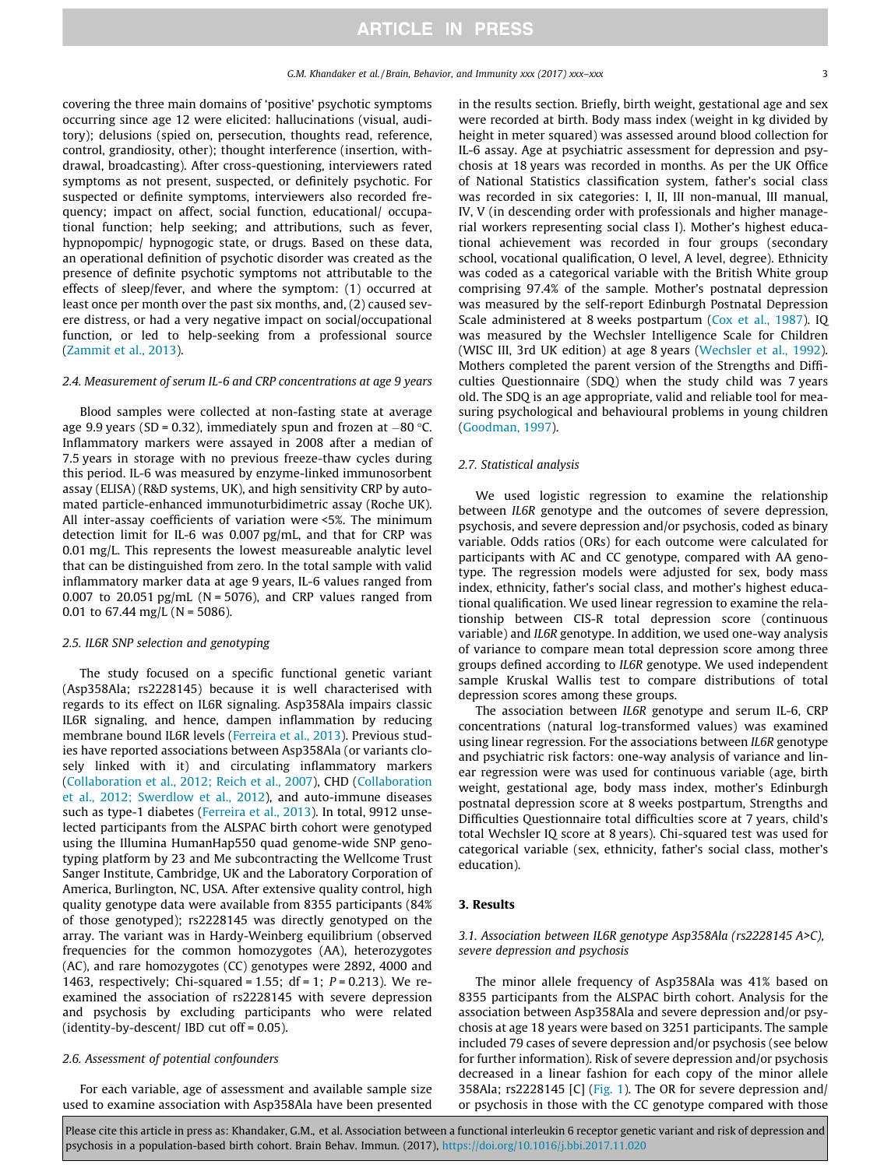covering the three main domains of 'positive' psychotic symptoms occurring since age 12 were elicited: hallucinations (visual, auditory); delusions (spied on, persecution, thoughts read, reference, control, grandiosity, other); thought interference (insertion, withdrawal, broadcasting). After cross-questioning, interviewers rated symptoms as not present, suspected, or definitely psychotic. For suspected or definite symptoms, interviewers also recorded frequency; impact on affect, social function, educational/ occupational function; help seeking; and attributions, such as fever, hypnopompic/ hypnogogic state, or drugs. Based on these data, an operational definition of psychotic disorder was created as the presence of definite psychotic symptoms not attributable to the effects of sleep/fever, and where the symptom: (1) occurred at least once per month over the past six months, and, (2) caused severe distress, or had a very negative impact on social/occupational function, or led to help-seeking from a professional source ([Zammit et al., 2013\)](#page-8-0).

## 2.4. Measurement of serum IL-6 and CRP concentrations at age 9 years

Blood samples were collected at non-fasting state at average age 9.9 years (SD = 0.32), immediately spun and frozen at  $-80$  °C. Inflammatory markers were assayed in 2008 after a median of 7.5 years in storage with no previous freeze-thaw cycles during this period. IL-6 was measured by enzyme-linked immunosorbent assay (ELISA) (R&D systems, UK), and high sensitivity CRP by automated particle-enhanced immunoturbidimetric assay (Roche UK). All inter-assay coefficients of variation were <5%. The minimum detection limit for IL-6 was 0.007 pg/mL, and that for CRP was 0.01 mg/L. This represents the lowest measureable analytic level that can be distinguished from zero. In the total sample with valid inflammatory marker data at age 9 years, IL-6 values ranged from 0.007 to 20.051 pg/mL (N = 5076), and CRP values ranged from 0.01 to 67.44 mg/L (N = 5086).

## 2.5. IL6R SNP selection and genotyping

The study focused on a specific functional genetic variant (Asp358Ala; rs2228145) because it is well characterised with regards to its effect on IL6R signaling. Asp358Ala impairs classic IL6R signaling, and hence, dampen inflammation by reducing membrane bound IL6R levels [\(Ferreira et al., 2013\)](#page-7-0). Previous studies have reported associations between Asp358Ala (or variants closely linked with it) and circulating inflammatory markers ([Collaboration et al., 2012; Reich et al., 2007\)](#page-7-0), CHD ([Collaboration](#page-7-0) [et al., 2012; Swerdlow et al., 2012](#page-7-0)), and auto-immune diseases such as type-1 diabetes ([Ferreira et al., 2013](#page-7-0)). In total, 9912 unselected participants from the ALSPAC birth cohort were genotyped using the Illumina HumanHap550 quad genome-wide SNP genotyping platform by 23 and Me subcontracting the Wellcome Trust Sanger Institute, Cambridge, UK and the Laboratory Corporation of America, Burlington, NC, USA. After extensive quality control, high quality genotype data were available from 8355 participants (84% of those genotyped); rs2228145 was directly genotyped on the array. The variant was in Hardy-Weinberg equilibrium (observed frequencies for the common homozygotes (AA), heterozygotes (AC), and rare homozygotes (CC) genotypes were 2892, 4000 and 1463, respectively; Chi-squared = 1.55; df = 1;  $P = 0.213$ ). We reexamined the association of rs2228145 with severe depression and psychosis by excluding participants who were related (identity-by-descent/ IBD cut off = 0.05).

## 2.6. Assessment of potential confounders

For each variable, age of assessment and available sample size used to examine association with Asp358Ala have been presented in the results section. Briefly, birth weight, gestational age and sex were recorded at birth. Body mass index (weight in kg divided by height in meter squared) was assessed around blood collection for IL-6 assay. Age at psychiatric assessment for depression and psychosis at 18 years was recorded in months. As per the UK Office of National Statistics classification system, father's social class was recorded in six categories: I, II, III non-manual, III manual, IV, V (in descending order with professionals and higher managerial workers representing social class I). Mother's highest educational achievement was recorded in four groups (secondary school, vocational qualification, O level, A level, degree). Ethnicity was coded as a categorical variable with the British White group comprising 97.4% of the sample. Mother's postnatal depression was measured by the self-report Edinburgh Postnatal Depression Scale administered at 8 weeks postpartum ([Cox et al., 1987\)](#page-7-0). IQ was measured by the Wechsler Intelligence Scale for Children (WISC III, 3rd UK edition) at age 8 years [\(Wechsler et al., 1992\)](#page-8-0). Mothers completed the parent version of the Strengths and Difficulties Questionnaire (SDQ) when the study child was 7 years old. The SDQ is an age appropriate, valid and reliable tool for measuring psychological and behavioural problems in young children ([Goodman, 1997\)](#page-7-0).

### 2.7. Statistical analysis

We used logistic regression to examine the relationship between IL6R genotype and the outcomes of severe depression, psychosis, and severe depression and/or psychosis, coded as binary variable. Odds ratios (ORs) for each outcome were calculated for participants with AC and CC genotype, compared with AA genotype. The regression models were adjusted for sex, body mass index, ethnicity, father's social class, and mother's highest educational qualification. We used linear regression to examine the relationship between CIS-R total depression score (continuous variable) and IL6R genotype. In addition, we used one-way analysis of variance to compare mean total depression score among three groups defined according to IL6R genotype. We used independent sample Kruskal Wallis test to compare distributions of total depression scores among these groups.

The association between IL6R genotype and serum IL-6, CRP concentrations (natural log-transformed values) was examined using linear regression. For the associations between IL6R genotype and psychiatric risk factors: one-way analysis of variance and linear regression were was used for continuous variable (age, birth weight, gestational age, body mass index, mother's Edinburgh postnatal depression score at 8 weeks postpartum, Strengths and Difficulties Questionnaire total difficulties score at 7 years, child's total Wechsler IQ score at 8 years). Chi-squared test was used for categorical variable (sex, ethnicity, father's social class, mother's education).

## 3. Results

## 3.1. Association between IL6R genotype Asp358Ala (rs2228145 A>C), severe depression and psychosis

The minor allele frequency of Asp358Ala was 41% based on 8355 participants from the ALSPAC birth cohort. Analysis for the association between Asp358Ala and severe depression and/or psychosis at age 18 years were based on 3251 participants. The sample included 79 cases of severe depression and/or psychosis (see below for further information). Risk of severe depression and/or psychosis decreased in a linear fashion for each copy of the minor allele 358Ala; rs2228145 [C] [\(Fig. 1\)](#page-3-0). The OR for severe depression and/ or psychosis in those with the CC genotype compared with those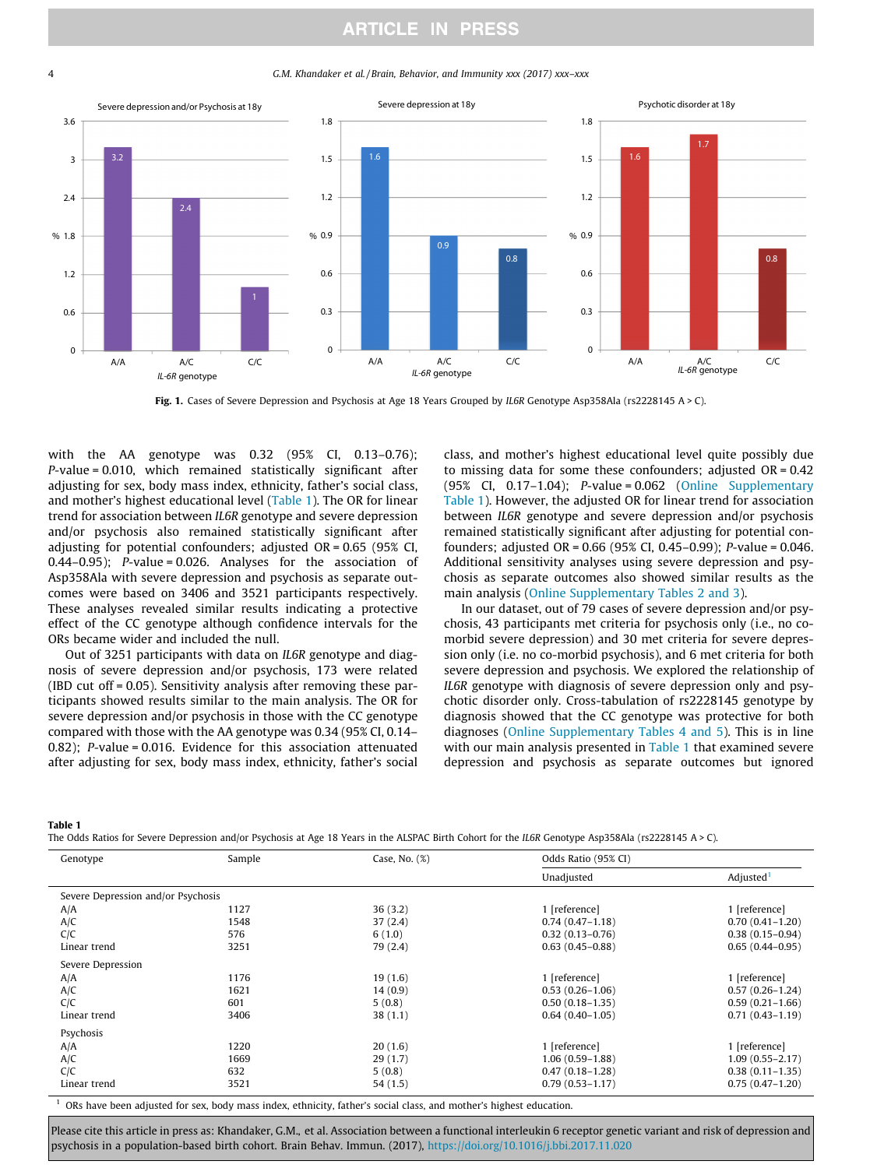## **ARTICLE IN PRESS**

#### <span id="page-3-0"></span>4 G.M. Khandaker et al. / Brain, Behavior, and Immunity xxx (2017) xxx–xxx



Fig. 1. Cases of Severe Depression and Psychosis at Age 18 Years Grouped by IL6R Genotype Asp358Ala (rs2228145 A > C).

with the AA genotype was 0.32 (95% CI, 0.13–0.76); P-value = 0.010, which remained statistically significant after adjusting for sex, body mass index, ethnicity, father's social class, and mother's highest educational level (Table 1). The OR for linear trend for association between IL6R genotype and severe depression and/or psychosis also remained statistically significant after adjusting for potential confounders; adjusted OR = 0.65 (95% CI, 0.44–0.95); P-value = 0.026. Analyses for the association of Asp358Ala with severe depression and psychosis as separate outcomes were based on 3406 and 3521 participants respectively. These analyses revealed similar results indicating a protective effect of the CC genotype although confidence intervals for the ORs became wider and included the null.

Out of 3251 participants with data on IL6R genotype and diagnosis of severe depression and/or psychosis, 173 were related (IBD cut off  $= 0.05$ ). Sensitivity analysis after removing these participants showed results similar to the main analysis. The OR for severe depression and/or psychosis in those with the CC genotype compared with those with the AA genotype was 0.34 (95% CI, 0.14– 0.82); P-value = 0.016. Evidence for this association attenuated after adjusting for sex, body mass index, ethnicity, father's social class, and mother's highest educational level quite possibly due to missing data for some these confounders; adjusted OR = 0.42 (95% CI, 0.17–1.04); P-value = 0.062 (Online Supplementary Table 1). However, the adjusted OR for linear trend for association between IL6R genotype and severe depression and/or psychosis remained statistically significant after adjusting for potential confounders; adjusted OR = 0.66 (95% CI, 0.45–0.99); P-value = 0.046. Additional sensitivity analyses using severe depression and psychosis as separate outcomes also showed similar results as the main analysis (Online Supplementary Tables 2 and 3).

In our dataset, out of 79 cases of severe depression and/or psychosis, 43 participants met criteria for psychosis only (i.e., no comorbid severe depression) and 30 met criteria for severe depression only (i.e. no co-morbid psychosis), and 6 met criteria for both severe depression and psychosis. We explored the relationship of IL6R genotype with diagnosis of severe depression only and psychotic disorder only. Cross-tabulation of rs2228145 genotype by diagnosis showed that the CC genotype was protective for both diagnoses (Online Supplementary Tables 4 and 5). This is in line with our main analysis presented in Table 1 that examined severe depression and psychosis as separate outcomes but ignored

#### Table 1

The Odds Ratios for Severe Depression and/or Psychosis at Age 18 Years in the ALSPAC Birth Cohort for the IL6R Genotype Asp358Ala (rs2228145 A > C).

| Genotype                           | Sample | Case, No. (%) | Odds Ratio (95% CI) |                       |
|------------------------------------|--------|---------------|---------------------|-----------------------|
|                                    |        |               | Unadjusted          | Adjusted <sup>1</sup> |
| Severe Depression and/or Psychosis |        |               |                     |                       |
| A/A                                | 1127   | 36(3.2)       | 1 [reference]       | 1 [reference]         |
| A/C                                | 1548   | 37(2.4)       | $0.74(0.47 - 1.18)$ | $0.70(0.41 - 1.20)$   |
| C/C                                | 576    | 6(1.0)        | $0.32(0.13 - 0.76)$ | $0.38(0.15-0.94)$     |
| Linear trend                       | 3251   | 79 (2.4)      | $0.63(0.45-0.88)$   | $0.65(0.44 - 0.95)$   |
| Severe Depression                  |        |               |                     |                       |
| A/A                                | 1176   | 19(1.6)       | 1 [reference]       | 1 [reference]         |
| A/C                                | 1621   | 14(0.9)       | $0.53(0.26-1.06)$   | $0.57(0.26 - 1.24)$   |
| C/C                                | 601    | 5(0.8)        | $0.50(0.18-1.35)$   | $0.59(0.21-1.66)$     |
| Linear trend                       | 3406   | 38(1.1)       | $0.64(0.40-1.05)$   | $0.71(0.43 - 1.19)$   |
| Psychosis                          |        |               |                     |                       |
| A/A                                | 1220   | 20(1.6)       | 1 [reference]       | 1 [reference]         |
| A/C                                | 1669   | 29(1.7)       | $1.06(0.59-1.88)$   | $1.09(0.55 - 2.17)$   |
| C/C                                | 632    | 5(0.8)        | $0.47(0.18-1.28)$   | $0.38(0.11-1.35)$     |
| Linear trend                       | 3521   | 54 (1.5)      | $0.79(0.53 - 1.17)$ | $0.75(0.47-1.20)$     |

 $<sup>1</sup>$  ORs have been adjusted for sex, body mass index, ethnicity, father's social class, and mother's highest education.</sup>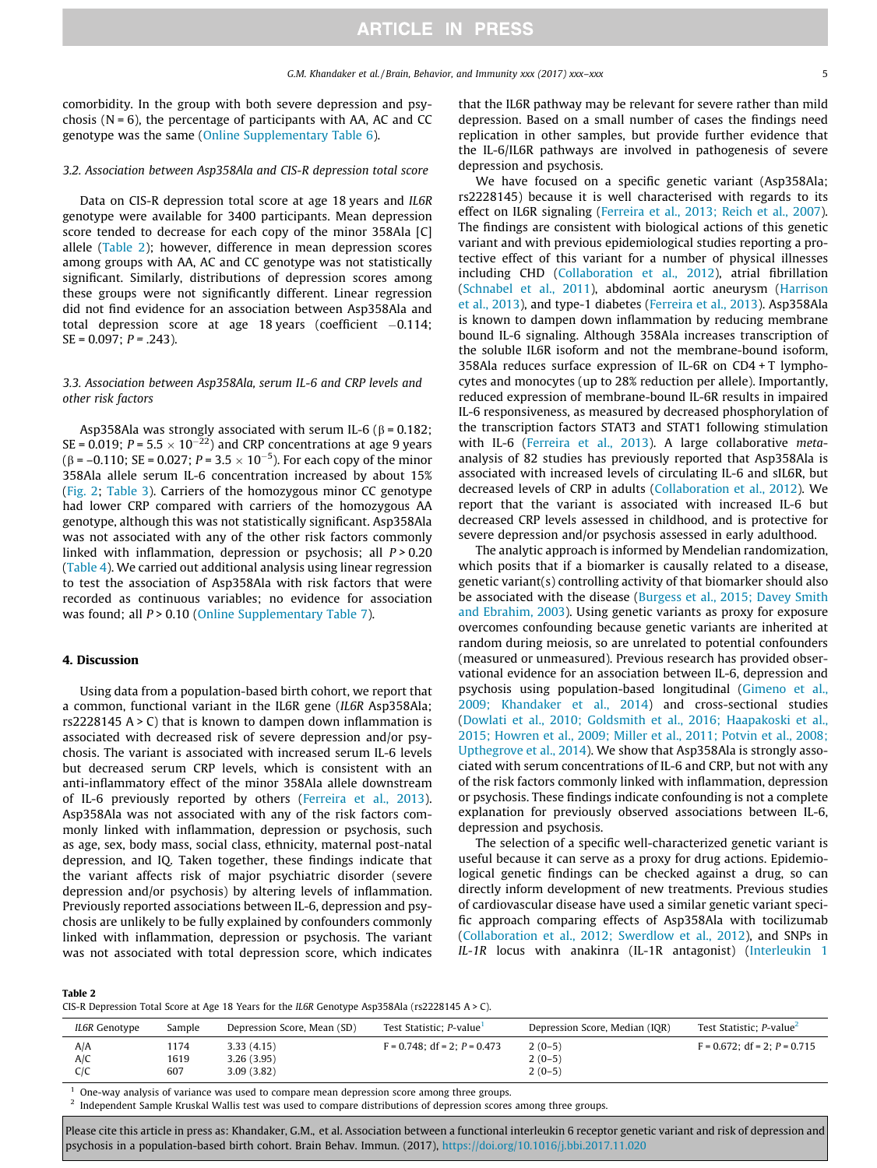comorbidity. In the group with both severe depression and psychosis ( $N = 6$ ), the percentage of participants with AA, AC and CC genotype was the same (Online Supplementary Table 6).

#### 3.2. Association between Asp358Ala and CIS-R depression total score

Data on CIS-R depression total score at age 18 years and IL6R genotype were available for 3400 participants. Mean depression score tended to decrease for each copy of the minor 358Ala [C] allele (Table 2); however, difference in mean depression scores among groups with AA, AC and CC genotype was not statistically significant. Similarly, distributions of depression scores among these groups were not significantly different. Linear regression did not find evidence for an association between Asp358Ala and total depression score at age 18 years (coefficient  $-0.114$ ;  $SE = 0.097$ ;  $P = .243$ ).

## 3.3. Association between Asp358Ala, serum IL-6 and CRP levels and other risk factors

Asp358Ala was strongly associated with serum IL-6 ( $\beta$  = 0.182; SE = 0.019;  $P = 5.5 \times 10^{-22}$ ) and CRP concentrations at age 9 years ( $\beta$  = -0.110; SE = 0.027; P = 3.5  $\times$  10<sup>-5</sup>). For each copy of the minor 358Ala allele serum IL-6 concentration increased by about 15% ([Fig. 2;](#page-5-0) [Table 3](#page-5-0)). Carriers of the homozygous minor CC genotype had lower CRP compared with carriers of the homozygous AA genotype, although this was not statistically significant. Asp358Ala was not associated with any of the other risk factors commonly linked with inflammation, depression or psychosis; all  $P > 0.20$ ([Table 4\)](#page-5-0). We carried out additional analysis using linear regression to test the association of Asp358Ala with risk factors that were recorded as continuous variables; no evidence for association was found; all  $P > 0.10$  (Online Supplementary Table 7).

## 4. Discussion

Using data from a population-based birth cohort, we report that a common, functional variant in the IL6R gene (IL6R Asp358Ala; rs2228145  $A > C$ ) that is known to dampen down inflammation is associated with decreased risk of severe depression and/or psychosis. The variant is associated with increased serum IL-6 levels but decreased serum CRP levels, which is consistent with an anti-inflammatory effect of the minor 358Ala allele downstream of IL-6 previously reported by others ([Ferreira et al., 2013\)](#page-7-0). Asp358Ala was not associated with any of the risk factors commonly linked with inflammation, depression or psychosis, such as age, sex, body mass, social class, ethnicity, maternal post-natal depression, and IQ. Taken together, these findings indicate that the variant affects risk of major psychiatric disorder (severe depression and/or psychosis) by altering levels of inflammation. Previously reported associations between IL-6, depression and psychosis are unlikely to be fully explained by confounders commonly linked with inflammation, depression or psychosis. The variant was not associated with total depression score, which indicates that the IL6R pathway may be relevant for severe rather than mild depression. Based on a small number of cases the findings need replication in other samples, but provide further evidence that the IL-6/IL6R pathways are involved in pathogenesis of severe depression and psychosis.

We have focused on a specific genetic variant (Asp358Ala; rs2228145) because it is well characterised with regards to its effect on IL6R signaling [\(Ferreira et al., 2013; Reich et al., 2007\)](#page-7-0). The findings are consistent with biological actions of this genetic variant and with previous epidemiological studies reporting a protective effect of this variant for a number of physical illnesses including CHD [\(Collaboration et al., 2012\)](#page-7-0), atrial fibrillation ([Schnabel et al., 2011](#page-8-0)), abdominal aortic aneurysm ([Harrison](#page-7-0) [et al., 2013](#page-7-0)), and type-1 diabetes [\(Ferreira et al., 2013\)](#page-7-0). Asp358Ala is known to dampen down inflammation by reducing membrane bound IL-6 signaling. Although 358Ala increases transcription of the soluble IL6R isoform and not the membrane-bound isoform, 358Ala reduces surface expression of IL-6R on CD4 + T lymphocytes and monocytes (up to 28% reduction per allele). Importantly, reduced expression of membrane-bound IL-6R results in impaired IL-6 responsiveness, as measured by decreased phosphorylation of the transcription factors STAT3 and STAT1 following stimulation with IL-6 ([Ferreira et al., 2013\)](#page-7-0). A large collaborative metaanalysis of 82 studies has previously reported that Asp358Ala is associated with increased levels of circulating IL-6 and sIL6R, but decreased levels of CRP in adults ([Collaboration et al., 2012\)](#page-7-0). We report that the variant is associated with increased IL-6 but decreased CRP levels assessed in childhood, and is protective for severe depression and/or psychosis assessed in early adulthood.

The analytic approach is informed by Mendelian randomization, which posits that if a biomarker is causally related to a disease, genetic variant(s) controlling activity of that biomarker should also be associated with the disease ([Burgess et al., 2015; Davey Smith](#page-7-0) [and Ebrahim, 2003\)](#page-7-0). Using genetic variants as proxy for exposure overcomes confounding because genetic variants are inherited at random during meiosis, so are unrelated to potential confounders (measured or unmeasured). Previous research has provided observational evidence for an association between IL-6, depression and psychosis using population-based longitudinal [\(Gimeno et al.,](#page-7-0) [2009; Khandaker et al., 2014](#page-7-0)) and cross-sectional studies ([Dowlati et al., 2010; Goldsmith et al., 2016; Haapakoski et al.,](#page-7-0) [2015; Howren et al., 2009; Miller et al., 2011; Potvin et al., 2008;](#page-7-0) [Upthegrove et al., 2014](#page-7-0)). We show that Asp358Ala is strongly associated with serum concentrations of IL-6 and CRP, but not with any of the risk factors commonly linked with inflammation, depression or psychosis. These findings indicate confounding is not a complete explanation for previously observed associations between IL-6, depression and psychosis.

The selection of a specific well-characterized genetic variant is useful because it can serve as a proxy for drug actions. Epidemiological genetic findings can be checked against a drug, so can directly inform development of new treatments. Previous studies of cardiovascular disease have used a similar genetic variant specific approach comparing effects of Asp358Ala with tocilizumab ([Collaboration et al., 2012; Swerdlow et al., 2012](#page-7-0)), and SNPs in IL-1R locus with anakinra (IL-1R antagonist) [\(Interleukin 1](#page-7-0)

Table 2

CIS-R Depression Total Score at Age 18 Years for the IL6R Genotype Asp358Ala (rs2228145 A > C).

| A/A<br>1174<br>3.33(4.15)<br>A/C<br>1619<br>3.26(3.95) | $F = 0.748$ ; df = 2; $P = 0.473$ | $2(0-5)$             |                                   |
|--------------------------------------------------------|-----------------------------------|----------------------|-----------------------------------|
| C/C<br>607<br>3.09(3.82)                               |                                   | $2(0-5)$<br>$2(0-5)$ | $F = 0.672$ ; df = 2; $P = 0.715$ |

<sup>1</sup> One-way analysis of variance was used to compare mean depression score among three groups.

<sup>2</sup> Independent Sample Kruskal Wallis test was used to compare distributions of depression scores among three groups.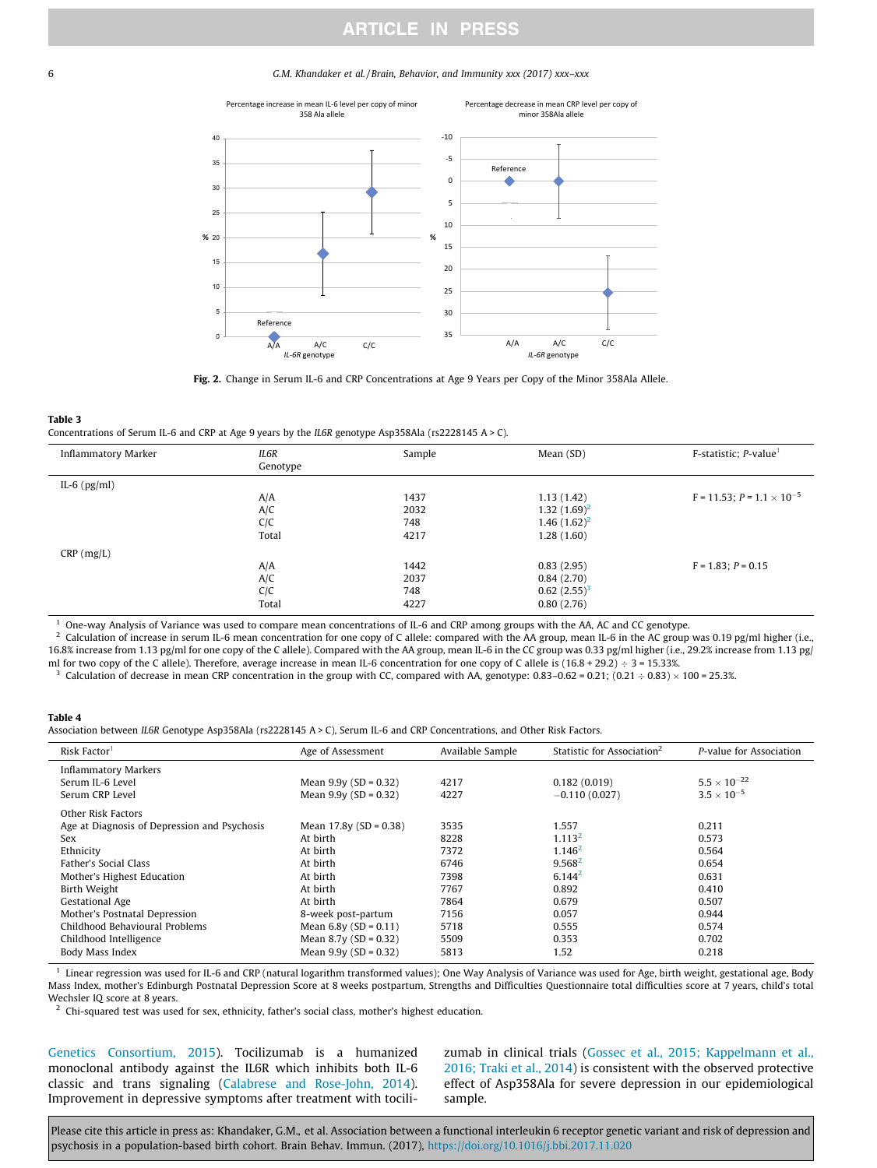## **ARTICLE IN PRESS**

<span id="page-5-0"></span>6 G.M. Khandaker et al. / Brain, Behavior, and Immunity xxx (2017) xxx–xxx



Fig. 2. Change in Serum IL-6 and CRP Concentrations at Age 9 Years per Copy of the Minor 358Ala Allele.

#### Table 3

Concentrations of Serum IL-6 and CRP at Age 9 years by the IL6R genotype Asp358Ala (rs2228145 A > C).

| <b>Inflammatory Marker</b> | IL6R<br>Genotype | Sample | Mean (SD)       | F-statistic; P-value <sup>1</sup>      |
|----------------------------|------------------|--------|-----------------|----------------------------------------|
| IL-6 $(pg/ml)$             |                  |        |                 |                                        |
|                            | A/A              | 1437   | 1.13(1.42)      | $F = 11.53$ ; $P = 1.1 \times 10^{-5}$ |
|                            | A/C              | 2032   | 1.32 $(1.69)^2$ |                                        |
|                            | C/C              | 748    | $1.46(1.62)^2$  |                                        |
|                            | Total            | 4217   | 1.28(1.60)      |                                        |
| $CRP$ (mg/L)               |                  |        |                 |                                        |
|                            | A/A              | 1442   | 0.83(2.95)      | $F = 1.83$ : $P = 0.15$                |
|                            | A/C              | 2037   | 0.84(2.70)      |                                        |
|                            | C/C              | 748    | $0.62(2.55)^3$  |                                        |
|                            | Total            | 4227   | 0.80(2.76)      |                                        |

<sup>1</sup> One-way Analysis of Variance was used to compare mean concentrations of IL-6 and CRP among groups with the AA, AC and CC genotype.

<sup>2</sup> Calculation of increase in serum IL-6 mean concentration for one copy of C allele: compared with the AA group, mean IL-6 in the AC group was 0.19 pg/ml higher (i.e., 16.8% increase from 1.13 pg/ml for one copy of the C allele). Compared with the AA group, mean IL-6 in the CC group was 0.33 pg/ml higher (i.e., 29.2% increase from 1.13 pg/ml for two copy of the C allele). Therefore, ave

<sup>3</sup> Calculation of decrease in mean CRP concentration in the group with CC, compared with AA, genotype: 0.83-0.62 = 0.21; (0.21  $\div$  0.83)  $\times$  100 = 25.3%.

#### Table 4

Association between IL6R Genotype Asp358Ala (rs2228145 A > C), Serum IL-6 and CRP Concentrations, and Other Risk Factors.

| Risk Factor <sup>1</sup>                     | Age of Assessment        | Available Sample | Statistic for Association <sup>2</sup> | P-value for Association |
|----------------------------------------------|--------------------------|------------------|----------------------------------------|-------------------------|
| <b>Inflammatory Markers</b>                  |                          |                  |                                        |                         |
| Serum IL-6 Level                             | Mean $9.9y$ (SD = 0.32)  | 4217             | 0.182(0.019)                           | $5.5 \times 10^{-22}$   |
| Serum CRP Level                              | Mean $9.9y$ (SD = 0.32)  | 4227             | $-0.110(0.027)$                        | $3.5 \times 10^{-5}$    |
| Other Risk Factors                           |                          |                  |                                        |                         |
| Age at Diagnosis of Depression and Psychosis | Mean $17.8y$ (SD = 0.38) | 3535             | 1.557                                  | 0.211                   |
| Sex                                          | At birth                 | 8228             | 1.113 <sup>2</sup>                     | 0.573                   |
| Ethnicity                                    | At birth                 | 7372             | $1.146^{2}$                            | 0.564                   |
| Father's Social Class                        | At birth                 | 6746             | $9.568^{2}$                            | 0.654                   |
| Mother's Highest Education                   | At birth                 | 7398             | $6.144^{2}$                            | 0.631                   |
| Birth Weight                                 | At birth                 | 7767             | 0.892                                  | 0.410                   |
| <b>Gestational Age</b>                       | At birth                 | 7864             | 0.679                                  | 0.507                   |
| Mother's Postnatal Depression                | 8-week post-partum       | 7156             | 0.057                                  | 0.944                   |
| Childhood Behavioural Problems               | Mean $6.8y$ (SD = 0.11)  | 5718             | 0.555                                  | 0.574                   |
| Childhood Intelligence                       | Mean $8.7y$ (SD = 0.32)  | 5509             | 0.353                                  | 0.702                   |
| Body Mass Index                              | Mean $9.9y$ (SD = 0.32)  | 5813             | 1.52                                   | 0.218                   |
|                                              |                          |                  |                                        |                         |

 $1$  Linear regression was used for IL-6 and CRP (natural logarithm transformed values); One Way Analysis of Variance was used for Age, birth weight, gestational age, Body Mass Index, mother's Edinburgh Postnatal Depression Score at 8 weeks postpartum, Strengths and Difficulties Questionnaire total difficulties score at 7 years, child's total Wechsler IQ score at 8 years.

<sup>2</sup> Chi-squared test was used for sex, ethnicity, father's social class, mother's highest education.

[Genetics Consortium, 2015\)](#page-7-0). Tocilizumab is a humanized monoclonal antibody against the IL6R which inhibits both IL-6 classic and trans signaling ([Calabrese and Rose-John, 2014\)](#page-7-0). Improvement in depressive symptoms after treatment with tocilizumab in clinical trials [\(Gossec et al., 2015; Kappelmann et al.,](#page-7-0) [2016; Traki et al., 2014\)](#page-7-0) is consistent with the observed protective effect of Asp358Ala for severe depression in our epidemiological sample.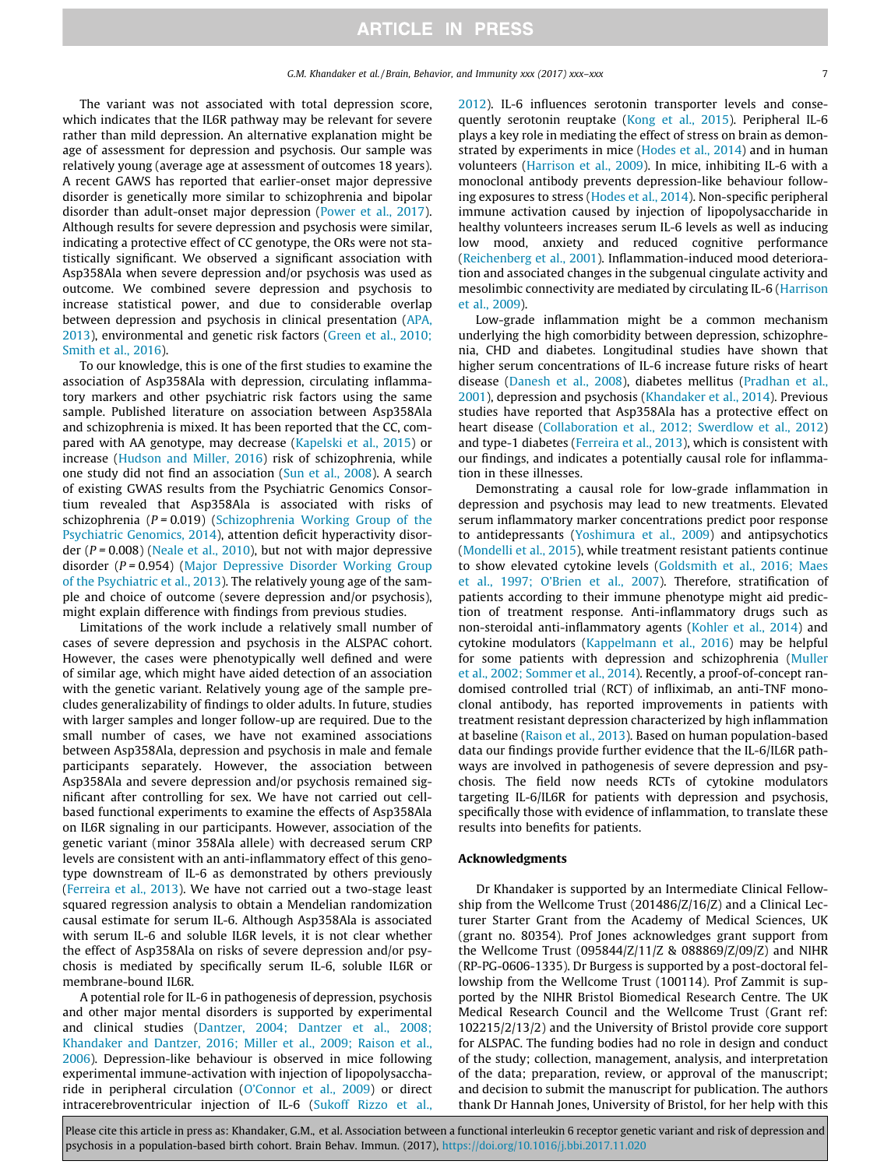The variant was not associated with total depression score, which indicates that the IL6R pathway may be relevant for severe rather than mild depression. An alternative explanation might be age of assessment for depression and psychosis. Our sample was relatively young (average age at assessment of outcomes 18 years). A recent GAWS has reported that earlier-onset major depressive disorder is genetically more similar to schizophrenia and bipolar disorder than adult-onset major depression ([Power et al., 2017\)](#page-8-0). Although results for severe depression and psychosis were similar, indicating a protective effect of CC genotype, the ORs were not statistically significant. We observed a significant association with Asp358Ala when severe depression and/or psychosis was used as outcome. We combined severe depression and psychosis to increase statistical power, and due to considerable overlap between depression and psychosis in clinical presentation [\(APA,](#page-7-0) [2013\)](#page-7-0), environmental and genetic risk factors ([Green et al., 2010;](#page-7-0) [Smith et al., 2016\)](#page-7-0).

To our knowledge, this is one of the first studies to examine the association of Asp358Ala with depression, circulating inflammatory markers and other psychiatric risk factors using the same sample. Published literature on association between Asp358Ala and schizophrenia is mixed. It has been reported that the CC, compared with AA genotype, may decrease ([Kapelski et al., 2015](#page-7-0)) or increase [\(Hudson and Miller, 2016](#page-7-0)) risk of schizophrenia, while one study did not find an association ([Sun et al., 2008\)](#page-8-0). A search of existing GWAS results from the Psychiatric Genomics Consortium revealed that Asp358Ala is associated with risks of schizophrenia ( $P = 0.019$ ) ([Schizophrenia Working Group of the](#page-8-0) [Psychiatric Genomics, 2014](#page-8-0)), attention deficit hyperactivity disorder ( $P = 0.008$ ) [\(Neale et al., 2010\)](#page-8-0), but not with major depressive disorder ( $P = 0.954$ ) [\(Major Depressive Disorder Working Group](#page-7-0) [of the Psychiatric et al., 2013](#page-7-0)). The relatively young age of the sample and choice of outcome (severe depression and/or psychosis), might explain difference with findings from previous studies.

Limitations of the work include a relatively small number of cases of severe depression and psychosis in the ALSPAC cohort. However, the cases were phenotypically well defined and were of similar age, which might have aided detection of an association with the genetic variant. Relatively young age of the sample precludes generalizability of findings to older adults. In future, studies with larger samples and longer follow-up are required. Due to the small number of cases, we have not examined associations between Asp358Ala, depression and psychosis in male and female participants separately. However, the association between Asp358Ala and severe depression and/or psychosis remained significant after controlling for sex. We have not carried out cellbased functional experiments to examine the effects of Asp358Ala on IL6R signaling in our participants. However, association of the genetic variant (minor 358Ala allele) with decreased serum CRP levels are consistent with an anti-inflammatory effect of this genotype downstream of IL-6 as demonstrated by others previously ([Ferreira et al., 2013](#page-7-0)). We have not carried out a two-stage least squared regression analysis to obtain a Mendelian randomization causal estimate for serum IL-6. Although Asp358Ala is associated with serum IL-6 and soluble IL6R levels, it is not clear whether the effect of Asp358Ala on risks of severe depression and/or psychosis is mediated by specifically serum IL-6, soluble IL6R or membrane-bound IL6R.

A potential role for IL-6 in pathogenesis of depression, psychosis and other major mental disorders is supported by experimental and clinical studies ([Dantzer, 2004; Dantzer et al., 2008;](#page-7-0) [Khandaker and Dantzer, 2016; Miller et al., 2009; Raison et al.,](#page-7-0) [2006](#page-7-0)). Depression-like behaviour is observed in mice following experimental immune-activation with injection of lipopolysaccharide in peripheral circulation ([O'Connor et al., 2009\)](#page-8-0) or direct intracerebroventricular injection of IL-6 [\(Sukoff Rizzo et al.,](#page-8-0)

[2012](#page-8-0)). IL-6 influences serotonin transporter levels and consequently serotonin reuptake ([Kong et al., 2015](#page-7-0)). Peripheral IL-6 plays a key role in mediating the effect of stress on brain as demonstrated by experiments in mice ([Hodes et al., 2014\)](#page-7-0) and in human volunteers ([Harrison et al., 2009](#page-7-0)). In mice, inhibiting IL-6 with a monoclonal antibody prevents depression-like behaviour following exposures to stress [\(Hodes et al., 2014\)](#page-7-0). Non-specific peripheral immune activation caused by injection of lipopolysaccharide in healthy volunteers increases serum IL-6 levels as well as inducing low mood, anxiety and reduced cognitive performance ([Reichenberg et al., 2001\)](#page-8-0). Inflammation-induced mood deterioration and associated changes in the subgenual cingulate activity and mesolimbic connectivity are mediated by circulating IL-6 ([Harrison](#page-7-0) [et al., 2009\)](#page-7-0).

Low-grade inflammation might be a common mechanism underlying the high comorbidity between depression, schizophrenia, CHD and diabetes. Longitudinal studies have shown that higher serum concentrations of IL-6 increase future risks of heart disease [\(Danesh et al., 2008\)](#page-7-0), diabetes mellitus [\(Pradhan et al.,](#page-8-0) [2001](#page-8-0)), depression and psychosis ([Khandaker et al., 2014](#page-7-0)). Previous studies have reported that Asp358Ala has a protective effect on heart disease [\(Collaboration et al., 2012; Swerdlow et al., 2012\)](#page-7-0) and type-1 diabetes [\(Ferreira et al., 2013\)](#page-7-0), which is consistent with our findings, and indicates a potentially causal role for inflammation in these illnesses.

Demonstrating a causal role for low-grade inflammation in depression and psychosis may lead to new treatments. Elevated serum inflammatory marker concentrations predict poor response to antidepressants ([Yoshimura et al., 2009](#page-8-0)) and antipsychotics ([Mondelli et al., 2015\)](#page-8-0), while treatment resistant patients continue to show elevated cytokine levels ([Goldsmith et al., 2016; Maes](#page-7-0) [et al., 1997; O'Brien et al., 2007\)](#page-7-0). Therefore, stratification of patients according to their immune phenotype might aid prediction of treatment response. Anti-inflammatory drugs such as non-steroidal anti-inflammatory agents ([Kohler et al., 2014](#page-7-0)) and cytokine modulators [\(Kappelmann et al., 2016](#page-7-0)) may be helpful for some patients with depression and schizophrenia [\(Muller](#page-8-0) [et al., 2002; Sommer et al., 2014\)](#page-8-0). Recently, a proof-of-concept randomised controlled trial (RCT) of infliximab, an anti-TNF monoclonal antibody, has reported improvements in patients with treatment resistant depression characterized by high inflammation at baseline [\(Raison et al., 2013](#page-8-0)). Based on human population-based data our findings provide further evidence that the IL-6/IL6R pathways are involved in pathogenesis of severe depression and psychosis. The field now needs RCTs of cytokine modulators targeting IL-6/IL6R for patients with depression and psychosis, specifically those with evidence of inflammation, to translate these results into benefits for patients.

### Acknowledgments

Dr Khandaker is supported by an Intermediate Clinical Fellowship from the Wellcome Trust (201486/Z/16/Z) and a Clinical Lecturer Starter Grant from the Academy of Medical Sciences, UK (grant no. 80354). Prof Jones acknowledges grant support from the Wellcome Trust (095844/Z/11/Z & 088869/Z/09/Z) and NIHR (RP-PG-0606-1335). Dr Burgess is supported by a post-doctoral fellowship from the Wellcome Trust (100114). Prof Zammit is supported by the NIHR Bristol Biomedical Research Centre. The UK Medical Research Council and the Wellcome Trust (Grant ref: 102215/2/13/2) and the University of Bristol provide core support for ALSPAC. The funding bodies had no role in design and conduct of the study; collection, management, analysis, and interpretation of the data; preparation, review, or approval of the manuscript; and decision to submit the manuscript for publication. The authors thank Dr Hannah Jones, University of Bristol, for her help with this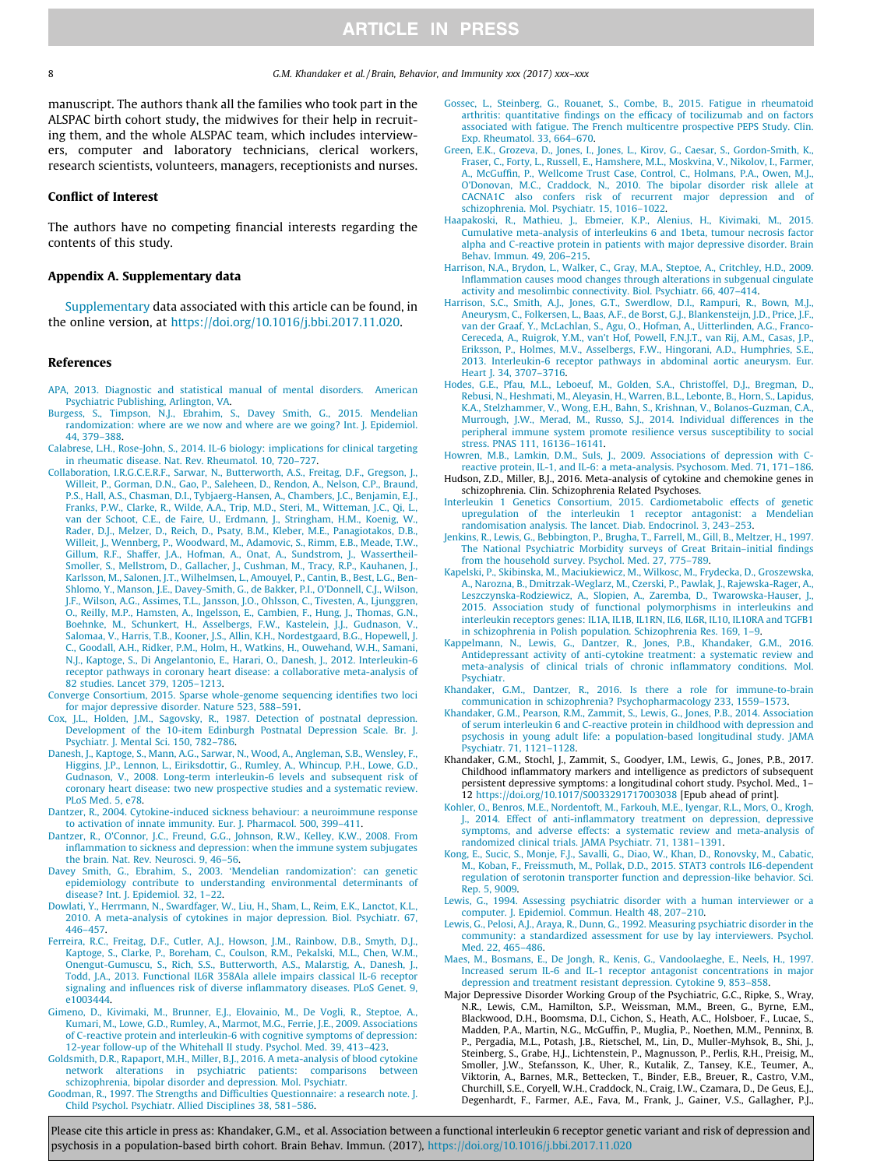<span id="page-7-0"></span>manuscript. The authors thank all the families who took part in the ALSPAC birth cohort study, the midwives for their help in recruiting them, and the whole ALSPAC team, which includes interviewers, computer and laboratory technicians, clerical workers, research scientists, volunteers, managers, receptionists and nurses.

## Conflict of Interest

The authors have no competing financial interests regarding the contents of this study.

### Appendix A. Supplementary data

Supplementary data associated with this article can be found, in the online version, at [https://doi.org/10.1016/j.bbi.2017.11.020.](https://doi.org/10.1016/j.bbi.2017.11.020)

## References

- [APA, 2013. Diagnostic and statistical manual of mental disorders. American](http://refhub.elsevier.com/S0889-1591(17)30521-4/h0005) [Psychiatric Publishing, Arlington, VA.](http://refhub.elsevier.com/S0889-1591(17)30521-4/h0005)
- [Burgess, S., Timpson, N.J., Ebrahim, S., Davey Smith, G., 2015. Mendelian](http://refhub.elsevier.com/S0889-1591(17)30521-4/h0010) [randomization: where are we now and where are we going? Int. J. Epidemiol.](http://refhub.elsevier.com/S0889-1591(17)30521-4/h0010) [44, 379–388.](http://refhub.elsevier.com/S0889-1591(17)30521-4/h0010)
- [Calabrese, L.H., Rose-John, S., 2014. IL-6 biology: implications for clinical targeting](http://refhub.elsevier.com/S0889-1591(17)30521-4/h0015) [in rheumatic disease. Nat. Rev. Rheumatol. 10, 720–727](http://refhub.elsevier.com/S0889-1591(17)30521-4/h0015).
- [Collaboration, I.R.G.C.E.R.F., Sarwar, N., Butterworth, A.S., Freitag, D.F., Gregson, J.,](http://refhub.elsevier.com/S0889-1591(17)30521-4/h0020) [Willeit, P., Gorman, D.N., Gao, P., Saleheen, D., Rendon, A., Nelson, C.P., Braund,](http://refhub.elsevier.com/S0889-1591(17)30521-4/h0020) [P.S., Hall, A.S., Chasman, D.I., Tybjaerg-Hansen, A., Chambers, J.C., Benjamin, E.J.,](http://refhub.elsevier.com/S0889-1591(17)30521-4/h0020) [Franks, P.W., Clarke, R., Wilde, A.A., Trip, M.D., Steri, M., Witteman, J.C., Qi, L.,](http://refhub.elsevier.com/S0889-1591(17)30521-4/h0020) [van der Schoot, C.E., de Faire, U., Erdmann, J., Stringham, H.M., Koenig, W.,](http://refhub.elsevier.com/S0889-1591(17)30521-4/h0020) [Rader, D.J., Melzer, D., Reich, D., Psaty, B.M., Kleber, M.E., Panagiotakos, D.B.,](http://refhub.elsevier.com/S0889-1591(17)30521-4/h0020) [Willeit, J., Wennberg, P., Woodward, M., Adamovic, S., Rimm, E.B., Meade, T.W.,](http://refhub.elsevier.com/S0889-1591(17)30521-4/h0020) [Gillum, R.F., Shaffer, J.A., Hofman, A., Onat, A., Sundstrom, J., Wassertheil-](http://refhub.elsevier.com/S0889-1591(17)30521-4/h0020)[Smoller, S., Mellstrom, D., Gallacher, J., Cushman, M., Tracy, R.P., Kauhanen, J.,](http://refhub.elsevier.com/S0889-1591(17)30521-4/h0020) [Karlsson, M., Salonen, J.T., Wilhelmsen, L., Amouyel, P., Cantin, B., Best, L.G., Ben-](http://refhub.elsevier.com/S0889-1591(17)30521-4/h0020)[Shlomo, Y., Manson, J.E., Davey-Smith, G., de Bakker, P.I., O'Donnell, C.J., Wilson,](http://refhub.elsevier.com/S0889-1591(17)30521-4/h0020) [J.F., Wilson, A.G., Assimes, T.L., Jansson, J.O., Ohlsson, C., Tivesten, A., Ljunggren,](http://refhub.elsevier.com/S0889-1591(17)30521-4/h0020) [O., Reilly, M.P., Hamsten, A., Ingelsson, E., Cambien, F., Hung, J., Thomas, G.N.,](http://refhub.elsevier.com/S0889-1591(17)30521-4/h0020) [Boehnke, M., Schunkert, H., Asselbergs, F.W., Kastelein, J.J., Gudnason, V.,](http://refhub.elsevier.com/S0889-1591(17)30521-4/h0020) [Salomaa, V., Harris, T.B., Kooner, J.S., Allin, K.H., Nordestgaard, B.G., Hopewell, J.](http://refhub.elsevier.com/S0889-1591(17)30521-4/h0020) [C., Goodall, A.H., Ridker, P.M., Holm, H., Watkins, H., Ouwehand, W.H., Samani,](http://refhub.elsevier.com/S0889-1591(17)30521-4/h0020) [N.J., Kaptoge, S., Di Angelantonio, E., Harari, O., Danesh, J., 2012. Interleukin-6](http://refhub.elsevier.com/S0889-1591(17)30521-4/h0020) [receptor pathways in coronary heart disease: a collaborative meta-analysis of](http://refhub.elsevier.com/S0889-1591(17)30521-4/h0020) [82 studies. Lancet 379, 1205–1213.](http://refhub.elsevier.com/S0889-1591(17)30521-4/h0020)
- [Converge Consortium, 2015. Sparse whole-genome sequencing identifies two loci](http://refhub.elsevier.com/S0889-1591(17)30521-4/h0025) [for major depressive disorder. Nature 523, 588–591.](http://refhub.elsevier.com/S0889-1591(17)30521-4/h0025)
- [Cox, J.L., Holden, J.M., Sagovsky, R., 1987. Detection of postnatal depression.](http://refhub.elsevier.com/S0889-1591(17)30521-4/h0030) [Development of the 10-item Edinburgh Postnatal Depression Scale. Br. J.](http://refhub.elsevier.com/S0889-1591(17)30521-4/h0030) [Psychiatr. J. Mental Sci. 150, 782–786](http://refhub.elsevier.com/S0889-1591(17)30521-4/h0030).
- [Danesh, J., Kaptoge, S., Mann, A.G., Sarwar, N., Wood, A., Angleman, S.B., Wensley, F.,](http://refhub.elsevier.com/S0889-1591(17)30521-4/h0035) [Higgins, J.P., Lennon, L., Eiriksdottir, G., Rumley, A., Whincup, P.H., Lowe, G.D.,](http://refhub.elsevier.com/S0889-1591(17)30521-4/h0035) [Gudnason, V., 2008. Long-term interleukin-6 levels and subsequent risk of](http://refhub.elsevier.com/S0889-1591(17)30521-4/h0035) [coronary heart disease: two new prospective studies and a systematic review.](http://refhub.elsevier.com/S0889-1591(17)30521-4/h0035) [PLoS Med. 5, e78](http://refhub.elsevier.com/S0889-1591(17)30521-4/h0035).
- [Dantzer, R., 2004. Cytokine-induced sickness behaviour: a neuroimmune response](http://refhub.elsevier.com/S0889-1591(17)30521-4/h0040) [to activation of innate immunity. Eur. J. Pharmacol. 500, 399–411](http://refhub.elsevier.com/S0889-1591(17)30521-4/h0040).
- [Dantzer, R., O'Connor, J.C., Freund, G.G., Johnson, R.W., Kelley, K.W., 2008. From](http://refhub.elsevier.com/S0889-1591(17)30521-4/h0045) [inflammation to sickness and depression: when the immune system subjugates](http://refhub.elsevier.com/S0889-1591(17)30521-4/h0045) [the brain. Nat. Rev. Neurosci. 9, 46–56.](http://refhub.elsevier.com/S0889-1591(17)30521-4/h0045)
- [Davey Smith, G., Ebrahim, S., 2003. 'Mendelian randomization': can genetic](http://refhub.elsevier.com/S0889-1591(17)30521-4/h0050) [epidemiology contribute to understanding environmental determinants of](http://refhub.elsevier.com/S0889-1591(17)30521-4/h0050) [disease? Int. J. Epidemiol. 32, 1–22.](http://refhub.elsevier.com/S0889-1591(17)30521-4/h0050)
- [Dowlati, Y., Herrmann, N., Swardfager, W., Liu, H., Sham, L., Reim, E.K., Lanctot, K.L.,](http://refhub.elsevier.com/S0889-1591(17)30521-4/h0055) [2010. A meta-analysis of cytokines in major depression. Biol. Psychiatr. 67,](http://refhub.elsevier.com/S0889-1591(17)30521-4/h0055) [446–457](http://refhub.elsevier.com/S0889-1591(17)30521-4/h0055).
- [Ferreira, R.C., Freitag, D.F., Cutler, A.J., Howson, J.M., Rainbow, D.B., Smyth, D.J.,](http://refhub.elsevier.com/S0889-1591(17)30521-4/h0060) [Kaptoge, S., Clarke, P., Boreham, C., Coulson, R.M., Pekalski, M.L., Chen, W.M.,](http://refhub.elsevier.com/S0889-1591(17)30521-4/h0060) [Onengut-Gumuscu, S., Rich, S.S., Butterworth, A.S., Malarstig, A., Danesh, J.,](http://refhub.elsevier.com/S0889-1591(17)30521-4/h0060) [Todd, J.A., 2013. Functional IL6R 358Ala allele impairs classical IL-6 receptor](http://refhub.elsevier.com/S0889-1591(17)30521-4/h0060) [signaling and influences risk of diverse inflammatory diseases. PLoS Genet. 9,](http://refhub.elsevier.com/S0889-1591(17)30521-4/h0060) [e1003444.](http://refhub.elsevier.com/S0889-1591(17)30521-4/h0060)
- [Gimeno, D., Kivimaki, M., Brunner, E.J., Elovainio, M., De Vogli, R., Steptoe, A.,](http://refhub.elsevier.com/S0889-1591(17)30521-4/h0065) [Kumari, M., Lowe, G.D., Rumley, A., Marmot, M.G., Ferrie, J.E., 2009. Associations](http://refhub.elsevier.com/S0889-1591(17)30521-4/h0065) [of C-reactive protein and interleukin-6 with cognitive symptoms of depression:](http://refhub.elsevier.com/S0889-1591(17)30521-4/h0065) [12-year follow-up of the Whitehall II study. Psychol. Med. 39, 413–423](http://refhub.elsevier.com/S0889-1591(17)30521-4/h0065).
- [Goldsmith, D.R., Rapaport, M.H., Miller, B.J., 2016. A meta-analysis of blood cytokine](http://refhub.elsevier.com/S0889-1591(17)30521-4/h0070) [network alterations in psychiatric patients: comparisons between](http://refhub.elsevier.com/S0889-1591(17)30521-4/h0070) [schizophrenia, bipolar disorder and depression. Mol. Psychiatr.](http://refhub.elsevier.com/S0889-1591(17)30521-4/h0070)
- [Goodman, R., 1997. The Strengths and Difficulties Questionnaire: a research note. J.](http://refhub.elsevier.com/S0889-1591(17)30521-4/h0075) [Child Psychol. Psychiatr. Allied Disciplines 38, 581–586](http://refhub.elsevier.com/S0889-1591(17)30521-4/h0075).
- [Gossec, L., Steinberg, G., Rouanet, S., Combe, B., 2015. Fatigue in rheumatoid](http://refhub.elsevier.com/S0889-1591(17)30521-4/h0080) [arthritis: quantitative findings on the efficacy of tocilizumab and on factors](http://refhub.elsevier.com/S0889-1591(17)30521-4/h0080) [associated with fatigue. The French multicentre prospective PEPS Study. Clin.](http://refhub.elsevier.com/S0889-1591(17)30521-4/h0080) [Exp. Rheumatol. 33, 664–670](http://refhub.elsevier.com/S0889-1591(17)30521-4/h0080).
- [Green, E.K., Grozeva, D., Jones, I., Jones, L., Kirov, G., Caesar, S., Gordon-Smith, K.,](http://refhub.elsevier.com/S0889-1591(17)30521-4/h0085) [Fraser, C., Forty, L., Russell, E., Hamshere, M.L., Moskvina, V., Nikolov, I., Farmer,](http://refhub.elsevier.com/S0889-1591(17)30521-4/h0085) [A., McGuffin, P., Wellcome Trust Case, Control, C., Holmans, P.A., Owen, M.J.,](http://refhub.elsevier.com/S0889-1591(17)30521-4/h0085) [O'Donovan, M.C., Craddock, N., 2010. The bipolar disorder risk allele at](http://refhub.elsevier.com/S0889-1591(17)30521-4/h0085) [CACNA1C also confers risk of recurrent major depression and of](http://refhub.elsevier.com/S0889-1591(17)30521-4/h0085) [schizophrenia. Mol. Psychiatr. 15, 1016–1022](http://refhub.elsevier.com/S0889-1591(17)30521-4/h0085).
- [Haapakoski, R., Mathieu, J., Ebmeier, K.P., Alenius, H., Kivimaki, M., 2015.](http://refhub.elsevier.com/S0889-1591(17)30521-4/h0090) [Cumulative meta-analysis of interleukins 6 and 1beta, tumour necrosis factor](http://refhub.elsevier.com/S0889-1591(17)30521-4/h0090) [alpha and C-reactive protein in patients with major depressive disorder. Brain](http://refhub.elsevier.com/S0889-1591(17)30521-4/h0090) [Behav. Immun. 49, 206–215](http://refhub.elsevier.com/S0889-1591(17)30521-4/h0090).
- [Harrison, N.A., Brydon, L., Walker, C., Gray, M.A., Steptoe, A., Critchley, H.D., 2009.](http://refhub.elsevier.com/S0889-1591(17)30521-4/h0095) [Inflammation causes mood changes through alterations in subgenual cingulate](http://refhub.elsevier.com/S0889-1591(17)30521-4/h0095) [activity and mesolimbic connectivity. Biol. Psychiatr. 66, 407–414.](http://refhub.elsevier.com/S0889-1591(17)30521-4/h0095)
- [Harrison, S.C., Smith, A.J., Jones, G.T., Swerdlow, D.I., Rampuri, R., Bown, M.J.,](http://refhub.elsevier.com/S0889-1591(17)30521-4/h0100) [Aneurysm, C., Folkersen, L., Baas, A.F., de Borst, G.J., Blankensteijn, J.D., Price, J.F.,](http://refhub.elsevier.com/S0889-1591(17)30521-4/h0100) [van der Graaf, Y., McLachlan, S., Agu, O., Hofman, A., Uitterlinden, A.G., Franco-](http://refhub.elsevier.com/S0889-1591(17)30521-4/h0100)[Cereceda, A., Ruigrok, Y.M., van't Hof, Powell, F.N.J.T., van Rij, A.M., Casas, J.P.,](http://refhub.elsevier.com/S0889-1591(17)30521-4/h0100) [Eriksson, P., Holmes, M.V., Asselbergs, F.W., Hingorani, A.D., Humphries, S.E.,](http://refhub.elsevier.com/S0889-1591(17)30521-4/h0100) [2013. Interleukin-6 receptor pathways in abdominal aortic aneurysm. Eur.](http://refhub.elsevier.com/S0889-1591(17)30521-4/h0100) [Heart J. 34, 3707–3716.](http://refhub.elsevier.com/S0889-1591(17)30521-4/h0100)
- [Hodes, G.E., Pfau, M.L., Leboeuf, M., Golden, S.A., Christoffel, D.J., Bregman, D.,](http://refhub.elsevier.com/S0889-1591(17)30521-4/h0105) [Rebusi, N., Heshmati, M., Aleyasin, H., Warren, B.L., Lebonte, B., Horn, S., Lapidus,](http://refhub.elsevier.com/S0889-1591(17)30521-4/h0105) [K.A., Stelzhammer, V., Wong, E.H., Bahn, S., Krishnan, V., Bolanos-Guzman, C.A.,](http://refhub.elsevier.com/S0889-1591(17)30521-4/h0105) [Murrough, J.W., Merad, M., Russo, S.J., 2014. Individual differences in the](http://refhub.elsevier.com/S0889-1591(17)30521-4/h0105) [peripheral immune system promote resilience versus susceptibility to social](http://refhub.elsevier.com/S0889-1591(17)30521-4/h0105) [stress. PNAS 111, 16136–16141](http://refhub.elsevier.com/S0889-1591(17)30521-4/h0105).
- [Howren, M.B., Lamkin, D.M., Suls, J., 2009. Associations of depression with C](http://refhub.elsevier.com/S0889-1591(17)30521-4/h0110)[reactive protein, IL-1, and IL-6: a meta-analysis. Psychosom. Med. 71, 171–186](http://refhub.elsevier.com/S0889-1591(17)30521-4/h0110).
- Hudson, Z.D., Miller, B.J., 2016. Meta-analysis of cytokine and chemokine genes in schizophrenia. Clin. Schizophrenia Related Psychoses.
- [Interleukin 1 Genetics Consortium, 2015. Cardiometabolic effects of genetic](http://refhub.elsevier.com/S0889-1591(17)30521-4/h0120) [upregulation of the interleukin 1 receptor antagonist: a Mendelian](http://refhub.elsevier.com/S0889-1591(17)30521-4/h0120) [randomisation analysis. The lancet. Diab. Endocrinol. 3, 243–253.](http://refhub.elsevier.com/S0889-1591(17)30521-4/h0120)
- [Jenkins, R., Lewis, G., Bebbington, P., Brugha, T., Farrell, M., Gill, B., Meltzer, H., 1997.](http://refhub.elsevier.com/S0889-1591(17)30521-4/h0130) [The National Psychiatric Morbidity surveys of Great Britain–initial findings](http://refhub.elsevier.com/S0889-1591(17)30521-4/h0130) [from the household survey. Psychol. Med. 27, 775–789](http://refhub.elsevier.com/S0889-1591(17)30521-4/h0130).
- [Kapelski, P., Skibinska, M., Maciukiewicz, M., Wilkosc, M., Frydecka, D., Groszewska,](http://refhub.elsevier.com/S0889-1591(17)30521-4/h0135) [A., Narozna, B., Dmitrzak-Weglarz, M., Czerski, P., Pawlak, J., Rajewska-Rager, A.,](http://refhub.elsevier.com/S0889-1591(17)30521-4/h0135) [Leszczynska-Rodziewicz, A., Slopien, A., Zaremba, D., Twarowska-Hauser, J.,](http://refhub.elsevier.com/S0889-1591(17)30521-4/h0135) [2015. Association study of functional polymorphisms in interleukins and](http://refhub.elsevier.com/S0889-1591(17)30521-4/h0135) [interleukin receptors genes: IL1A, IL1B, IL1RN, IL6, IL6R, IL10, IL10RA and TGFB1](http://refhub.elsevier.com/S0889-1591(17)30521-4/h0135) [in schizophrenia in Polish population. Schizophrenia Res. 169, 1–9](http://refhub.elsevier.com/S0889-1591(17)30521-4/h0135).
- [Kappelmann, N., Lewis, G., Dantzer, R., Jones, P.B., Khandaker, G.M., 2016.](http://refhub.elsevier.com/S0889-1591(17)30521-4/h0140) [Antidepressant activity of anti-cytokine treatment: a systematic review and](http://refhub.elsevier.com/S0889-1591(17)30521-4/h0140) [meta-analysis of clinical trials of chronic inflammatory conditions. Mol.](http://refhub.elsevier.com/S0889-1591(17)30521-4/h0140) [Psychiatr.](http://refhub.elsevier.com/S0889-1591(17)30521-4/h0140)
- [Khandaker, G.M., Dantzer, R., 2016. Is there a role for immune-to-brain](http://refhub.elsevier.com/S0889-1591(17)30521-4/h0145) [communication in schizophrenia? Psychopharmacology 233, 1559–1573.](http://refhub.elsevier.com/S0889-1591(17)30521-4/h0145)
- [Khandaker, G.M., Pearson, R.M., Zammit, S., Lewis, G., Jones, P.B., 2014. Association](http://refhub.elsevier.com/S0889-1591(17)30521-4/h0150) [of serum interleukin 6 and C-reactive protein in childhood with depression and](http://refhub.elsevier.com/S0889-1591(17)30521-4/h0150) [psychosis in young adult life: a population-based longitudinal study. JAMA](http://refhub.elsevier.com/S0889-1591(17)30521-4/h0150) [Psychiatr. 71, 1121–1128.](http://refhub.elsevier.com/S0889-1591(17)30521-4/h0150)
- Khandaker, G.M., Stochl, J., Zammit, S., Goodyer, I.M., Lewis, G., Jones, P.B., 2017. Childhood inflammatory markers and intelligence as predictors of subsequent persistent depressive symptoms: a longitudinal cohort study. Psychol. Med., 1– 12 <https://doi.org/10.1017/S0033291717003038> [Epub ahead of print].
- [Kohler, O., Benros, M.E., Nordentoft, M., Farkouh, M.E., Iyengar, R.L., Mors, O., Krogh,](http://refhub.elsevier.com/S0889-1591(17)30521-4/h0160) [J., 2014. Effect of anti-inflammatory treatment on depression, depressive](http://refhub.elsevier.com/S0889-1591(17)30521-4/h0160) [symptoms, and adverse effects: a systematic review and meta-analysis of](http://refhub.elsevier.com/S0889-1591(17)30521-4/h0160) [randomized clinical trials. JAMA Psychiatr. 71, 1381–1391.](http://refhub.elsevier.com/S0889-1591(17)30521-4/h0160)
- [Kong, E., Sucic, S., Monje, F.J., Savalli, G., Diao, W., Khan, D., Ronovsky, M., Cabatic,](http://refhub.elsevier.com/S0889-1591(17)30521-4/h0165) [M., Koban, F., Freissmuth, M., Pollak, D.D., 2015. STAT3 controls IL6-dependent](http://refhub.elsevier.com/S0889-1591(17)30521-4/h0165) [regulation of serotonin transporter function and depression-like behavior. Sci.](http://refhub.elsevier.com/S0889-1591(17)30521-4/h0165) [Rep. 5, 9009](http://refhub.elsevier.com/S0889-1591(17)30521-4/h0165).
- [Lewis, G., 1994. Assessing psychiatric disorder with a human interviewer or a](http://refhub.elsevier.com/S0889-1591(17)30521-4/h0170)
- [computer. J. Epidemiol. Commun. Health 48, 207–210](http://refhub.elsevier.com/S0889-1591(17)30521-4/h0170). [Lewis, G., Pelosi, A.J., Araya, R., Dunn, G., 1992. Measuring psychiatric disorder in the](http://refhub.elsevier.com/S0889-1591(17)30521-4/h0175) [community: a standardized assessment for use by lay interviewers. Psychol.](http://refhub.elsevier.com/S0889-1591(17)30521-4/h0175) [Med. 22, 465–486.](http://refhub.elsevier.com/S0889-1591(17)30521-4/h0175)
- [Maes, M., Bosmans, E., De Jongh, R., Kenis, G., Vandoolaeghe, E., Neels, H., 1997.](http://refhub.elsevier.com/S0889-1591(17)30521-4/h0180) [Increased serum IL-6 and IL-1 receptor antagonist concentrations in major](http://refhub.elsevier.com/S0889-1591(17)30521-4/h0180) [depression and treatment resistant depression. Cytokine 9, 853–858.](http://refhub.elsevier.com/S0889-1591(17)30521-4/h0180)
- Major Depressive Disorder Working Group of the Psychiatric, G.C., Ripke, S., Wray, N.R., Lewis, C.M., Hamilton, S.P., Weissman, M.M., Breen, G., Byrne, E.M., Blackwood, D.H., Boomsma, D.I., Cichon, S., Heath, A.C., Holsboer, F., Lucae, S., Madden, P.A., Martin, N.G., McGuffin, P., Muglia, P., Noethen, M.M., Penninx, B. P., Pergadia, M.L., Potash, J.B., Rietschel, M., Lin, D., Muller-Myhsok, B., Shi, J., Steinberg, S., Grabe, H.J., Lichtenstein, P., Magnusson, P., Perlis, R.H., Preisig, M., Smoller, J.W., Stefansson, K., Uher, R., Kutalik, Z., Tansey, K.E., Teumer, A., Viktorin, A., Barnes, M.R., Bettecken, T., Binder, E.B., Breuer, R., Castro, V.M., Churchill, S.E., Coryell, W.H., Craddock, N., Craig, I.W., Czamara, D., De Geus, E.J., Degenhardt, F., Farmer, A.E., Fava, M., Frank, J., Gainer, V.S., Gallagher, P.J.,